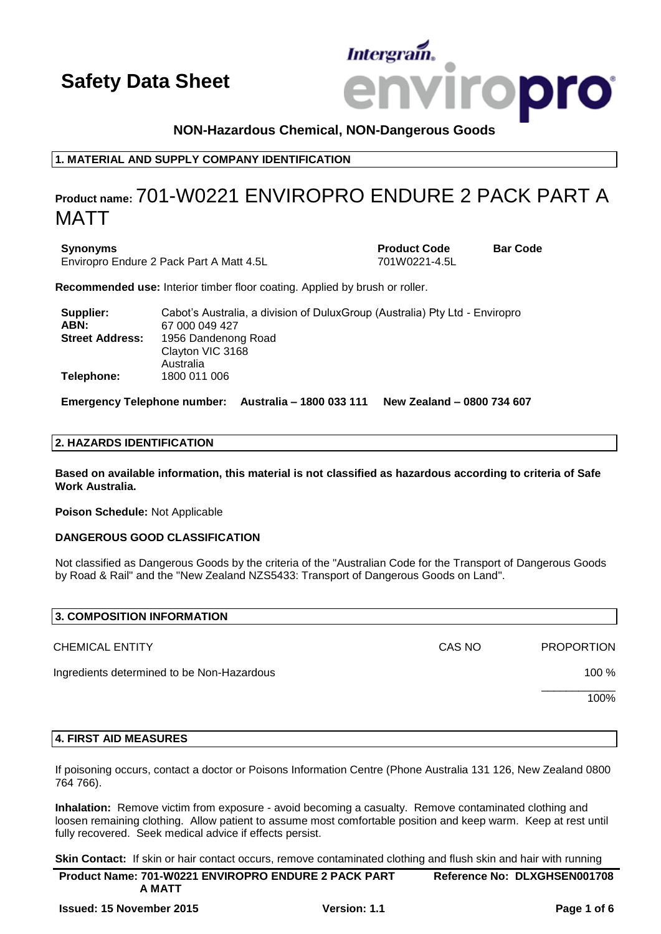# Intergrain **Iropro**

# **NON-Hazardous Chemical, NON-Dangerous Goods**

**1. MATERIAL AND SUPPLY COMPANY IDENTIFICATION**

# **Product name:** 701-W0221 ENVIROPRO ENDURE 2 PACK PART A MATT

**Synonyms Product Code Bar Code** Enviropro Endure 2 Pack Part A Matt 4.5L 701W0221-4.5L

**Recommended use:** Interior timber floor coating. Applied by brush or roller.

| Supplier:              | Cabot's Australia, a division of DuluxGroup (Australia) Pty Ltd - Enviropro |
|------------------------|-----------------------------------------------------------------------------|
| ABN:                   | 67 000 049 427                                                              |
| <b>Street Address:</b> | 1956 Dandenong Road                                                         |
|                        | Clayton VIC 3168                                                            |
|                        | Australia                                                                   |
| Telephone:             | 1800 011 006                                                                |

**Emergency Telephone number: Australia – 1800 033 111 New Zealand – 0800 734 607**

### **2. HAZARDS IDENTIFICATION**

**Based on available information, this material is not classified as hazardous according to criteria of Safe Work Australia.**

**Poison Schedule:** Not Applicable

# **DANGEROUS GOOD CLASSIFICATION**

Not classified as Dangerous Goods by the criteria of the "Australian Code for the Transport of Dangerous Goods by Road & Rail" and the "New Zealand NZS5433: Transport of Dangerous Goods on Land".

| 3. COMPOSITION INFORMATION                 |        |                   |
|--------------------------------------------|--------|-------------------|
| <b>CHEMICAL ENTITY</b>                     | CAS NO | <b>PROPORTION</b> |
| Ingredients determined to be Non-Hazardous |        | $100 \%$          |
|                                            |        | 100%              |
|                                            |        |                   |

# **4. FIRST AID MEASURES**

If poisoning occurs, contact a doctor or Poisons Information Centre (Phone Australia 131 126, New Zealand 0800 764 766).

**Inhalation:** Remove victim from exposure - avoid becoming a casualty. Remove contaminated clothing and loosen remaining clothing. Allow patient to assume most comfortable position and keep warm. Keep at rest until fully recovered. Seek medical advice if effects persist.

**Skin Contact:** If skin or hair contact occurs, remove contaminated clothing and flush skin and hair with running

| <b>Product Name: 701-W0221 ENVIROPRO ENDURE 2 PACK PART</b> | Reference No: DLXGHSEN001708 |
|-------------------------------------------------------------|------------------------------|
| A MATT                                                      |                              |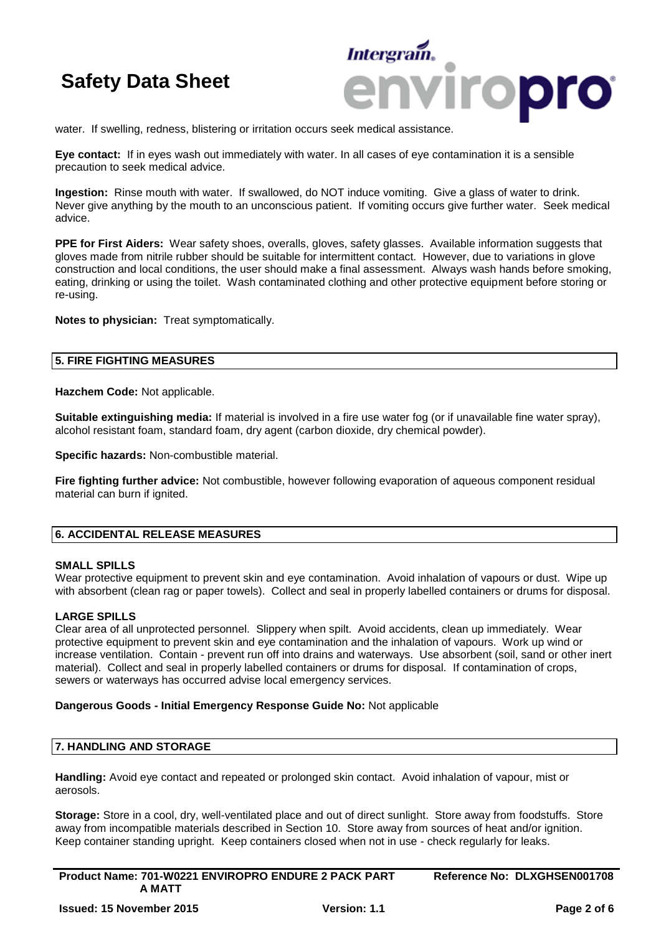

water. If swelling, redness, blistering or irritation occurs seek medical assistance.

**Eye contact:** If in eyes wash out immediately with water. In all cases of eye contamination it is a sensible precaution to seek medical advice.

**Ingestion:** Rinse mouth with water. If swallowed, do NOT induce vomiting. Give a glass of water to drink. Never give anything by the mouth to an unconscious patient. If vomiting occurs give further water. Seek medical advice.

**PPE for First Aiders:** Wear safety shoes, overalls, gloves, safety glasses. Available information suggests that gloves made from nitrile rubber should be suitable for intermittent contact. However, due to variations in glove construction and local conditions, the user should make a final assessment. Always wash hands before smoking, eating, drinking or using the toilet. Wash contaminated clothing and other protective equipment before storing or re-using.

**Notes to physician:** Treat symptomatically.

### **5. FIRE FIGHTING MEASURES**

**Hazchem Code:** Not applicable.

**Suitable extinguishing media:** If material is involved in a fire use water fog (or if unavailable fine water spray), alcohol resistant foam, standard foam, dry agent (carbon dioxide, dry chemical powder).

**Specific hazards:** Non-combustible material.

**Fire fighting further advice:** Not combustible, however following evaporation of aqueous component residual material can burn if ignited.

### **6. ACCIDENTAL RELEASE MEASURES**

#### **SMALL SPILLS**

Wear protective equipment to prevent skin and eye contamination. Avoid inhalation of vapours or dust. Wipe up with absorbent (clean rag or paper towels). Collect and seal in properly labelled containers or drums for disposal.

### **LARGE SPILLS**

Clear area of all unprotected personnel. Slippery when spilt. Avoid accidents, clean up immediately. Wear protective equipment to prevent skin and eye contamination and the inhalation of vapours. Work up wind or increase ventilation. Contain - prevent run off into drains and waterways. Use absorbent (soil, sand or other inert material). Collect and seal in properly labelled containers or drums for disposal. If contamination of crops, sewers or waterways has occurred advise local emergency services.

#### **Dangerous Goods - Initial Emergency Response Guide No:** Not applicable

# **7. HANDLING AND STORAGE**

**Handling:** Avoid eye contact and repeated or prolonged skin contact. Avoid inhalation of vapour, mist or aerosols.

**Storage:** Store in a cool, dry, well-ventilated place and out of direct sunlight. Store away from foodstuffs. Store away from incompatible materials described in Section 10. Store away from sources of heat and/or ignition. Keep container standing upright. Keep containers closed when not in use - check regularly for leaks.

**Product Name: 701-W0221 ENVIROPRO ENDURE 2 PACK PART A MATT Reference No: DLXGHSEN001708**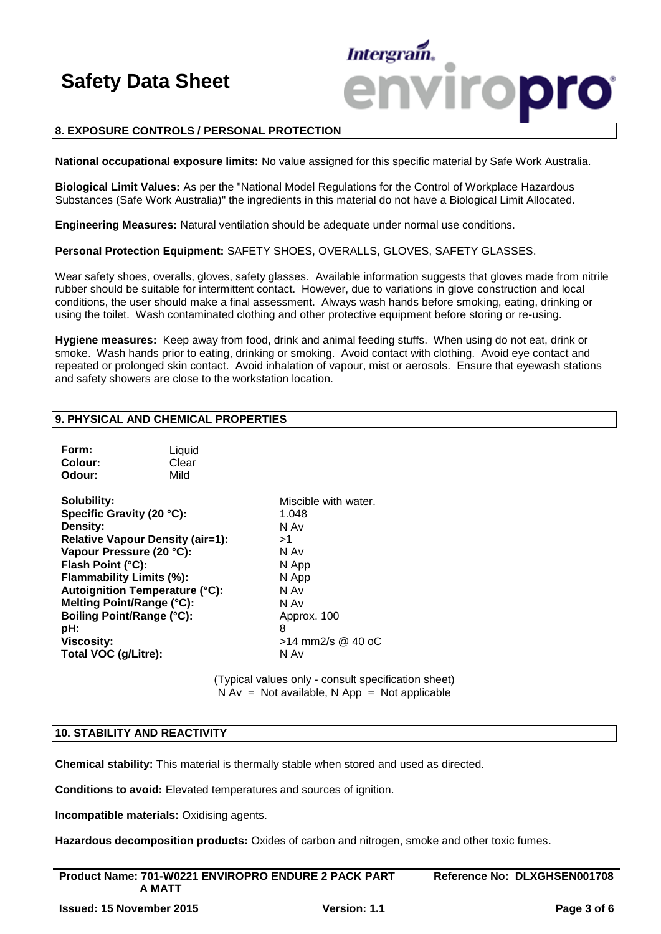

### **8. EXPOSURE CONTROLS / PERSONAL PROTECTION**

**National occupational exposure limits:** No value assigned for this specific material by Safe Work Australia.

**Biological Limit Values:** As per the "National Model Regulations for the Control of Workplace Hazardous Substances (Safe Work Australia)" the ingredients in this material do not have a Biological Limit Allocated.

**Engineering Measures:** Natural ventilation should be adequate under normal use conditions.

**Personal Protection Equipment:** SAFETY SHOES, OVERALLS, GLOVES, SAFETY GLASSES.

Wear safety shoes, overalls, gloves, safety glasses. Available information suggests that gloves made from nitrile rubber should be suitable for intermittent contact. However, due to variations in glove construction and local conditions, the user should make a final assessment. Always wash hands before smoking, eating, drinking or using the toilet. Wash contaminated clothing and other protective equipment before storing or re-using.

**Hygiene measures:** Keep away from food, drink and animal feeding stuffs. When using do not eat, drink or smoke. Wash hands prior to eating, drinking or smoking. Avoid contact with clothing. Avoid eye contact and repeated or prolonged skin contact. Avoid inhalation of vapour, mist or aerosols. Ensure that eyewash stations and safety showers are close to the workstation location.

### **9. PHYSICAL AND CHEMICAL PROPERTIES**

| Form:   | Liquid |
|---------|--------|
| Colour: | Clear  |
| Odour:  | Mild   |

**Solubility:** Miscible with water. **Specific Gravity (20 °C):** 1.048 **Density:** N Av **Relative Vapour Density (air=1):** >1 **Vapour Pressure (20 °C):** N Av **Flash Point (°C):** N App **Flammability Limits (%):** N App **Autoignition Temperature (°C):** N Av **Melting Point/Range (°C):** N Av **Boiling Point/Range (°C):** Approx. 100 **pH:** 8 **Viscosity:**  $>14$  mm2/s @ 40 oC **Total VOC (g/Litre):** N Av

(Typical values only - consult specification sheet)  $N Av = Not available, N App = Not applicable$ 

#### **10. STABILITY AND REACTIVITY**

**Chemical stability:** This material is thermally stable when stored and used as directed.

**Conditions to avoid:** Elevated temperatures and sources of ignition.

**Incompatible materials:** Oxidising agents.

**Hazardous decomposition products:** Oxides of carbon and nitrogen, smoke and other toxic fumes.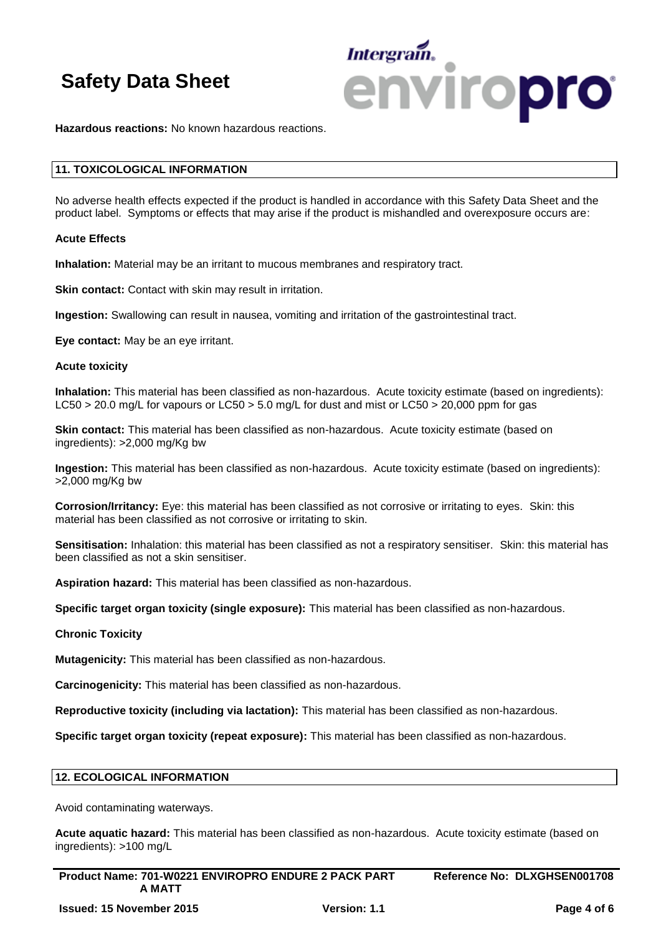

**Hazardous reactions:** No known hazardous reactions.

### **11. TOXICOLOGICAL INFORMATION**

No adverse health effects expected if the product is handled in accordance with this Safety Data Sheet and the product label. Symptoms or effects that may arise if the product is mishandled and overexposure occurs are:

#### **Acute Effects**

**Inhalation:** Material may be an irritant to mucous membranes and respiratory tract.

**Skin contact:** Contact with skin may result in irritation.

**Ingestion:** Swallowing can result in nausea, vomiting and irritation of the gastrointestinal tract.

**Eye contact:** May be an eye irritant.

#### **Acute toxicity**

**Inhalation:** This material has been classified as non-hazardous. Acute toxicity estimate (based on ingredients): LC50 > 20.0 mg/L for vapours or LC50 > 5.0 mg/L for dust and mist or LC50 > 20,000 ppm for gas

**Skin contact:** This material has been classified as non-hazardous. Acute toxicity estimate (based on ingredients): >2,000 mg/Kg bw

**Ingestion:** This material has been classified as non-hazardous. Acute toxicity estimate (based on ingredients): >2,000 mg/Kg bw

**Corrosion/Irritancy:** Eye: this material has been classified as not corrosive or irritating to eyes. Skin: this material has been classified as not corrosive or irritating to skin.

**Sensitisation:** Inhalation: this material has been classified as not a respiratory sensitiser. Skin: this material has been classified as not a skin sensitiser.

**Aspiration hazard:** This material has been classified as non-hazardous.

**Specific target organ toxicity (single exposure):** This material has been classified as non-hazardous.

#### **Chronic Toxicity**

**Mutagenicity:** This material has been classified as non-hazardous.

**Carcinogenicity:** This material has been classified as non-hazardous.

**Reproductive toxicity (including via lactation):** This material has been classified as non-hazardous.

**Specific target organ toxicity (repeat exposure):** This material has been classified as non-hazardous.

#### **12. ECOLOGICAL INFORMATION**

Avoid contaminating waterways.

**Acute aquatic hazard:** This material has been classified as non-hazardous. Acute toxicity estimate (based on ingredients): >100 mg/L

| <b>Product Name: 701-W0221 ENVIROPRO ENDURE 2 PACK PART</b> | Reference No: DLXGHSEN001708 |
|-------------------------------------------------------------|------------------------------|
| A MATT                                                      |                              |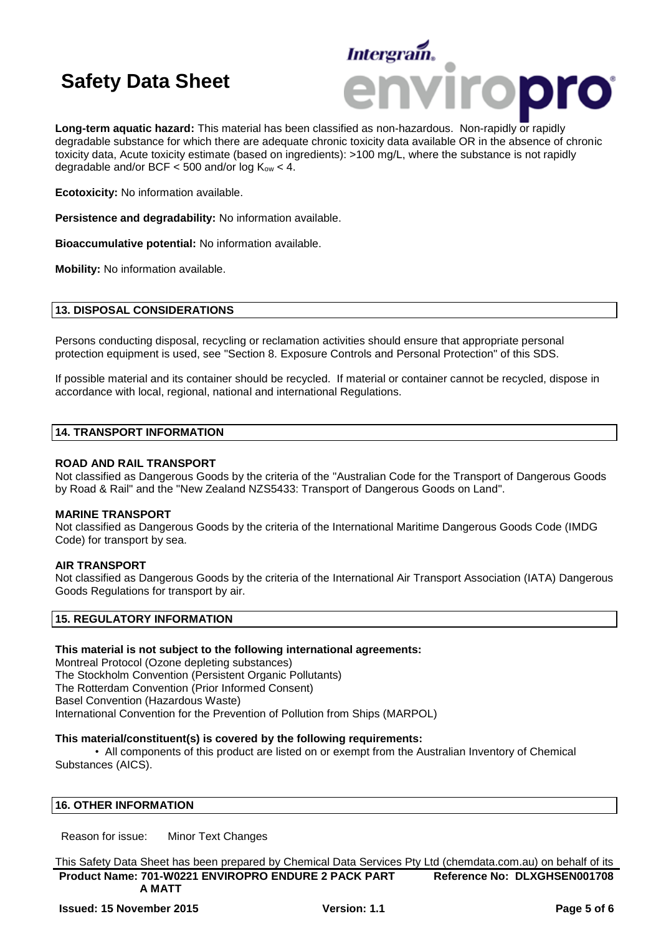

**Long-term aquatic hazard:** This material has been classified as non-hazardous. Non-rapidly or rapidly degradable substance for which there are adequate chronic toxicity data available OR in the absence of chronic toxicity data, Acute toxicity estimate (based on ingredients): >100 mg/L, where the substance is not rapidly degradable and/or BCF  $<$  500 and/or log  $K_{ow}$   $<$  4.

**Ecotoxicity:** No information available.

**Persistence and degradability:** No information available.

**Bioaccumulative potential:** No information available.

**Mobility:** No information available.

### **13. DISPOSAL CONSIDERATIONS**

Persons conducting disposal, recycling or reclamation activities should ensure that appropriate personal protection equipment is used, see "Section 8. Exposure Controls and Personal Protection" of this SDS.

If possible material and its container should be recycled. If material or container cannot be recycled, dispose in accordance with local, regional, national and international Regulations.

#### **14. TRANSPORT INFORMATION**

#### **ROAD AND RAIL TRANSPORT**

Not classified as Dangerous Goods by the criteria of the "Australian Code for the Transport of Dangerous Goods by Road & Rail" and the "New Zealand NZS5433: Transport of Dangerous Goods on Land".

#### **MARINE TRANSPORT**

Not classified as Dangerous Goods by the criteria of the International Maritime Dangerous Goods Code (IMDG Code) for transport by sea.

### **AIR TRANSPORT**

Not classified as Dangerous Goods by the criteria of the International Air Transport Association (IATA) Dangerous Goods Regulations for transport by air.

### **15. REGULATORY INFORMATION**

#### **This material is not subject to the following international agreements:**

Montreal Protocol (Ozone depleting substances) The Stockholm Convention (Persistent Organic Pollutants) The Rotterdam Convention (Prior Informed Consent) Basel Convention (Hazardous Waste) International Convention for the Prevention of Pollution from Ships (MARPOL)

### **This material/constituent(s) is covered by the following requirements:**

• All components of this product are listed on or exempt from the Australian Inventory of Chemical Substances (AICS).

### **16. OTHER INFORMATION**

Reason for issue: Minor Text Changes

**Product Name: 701-W0221 ENVIROPRO ENDURE 2 PACK PART A MATT Reference No: DLXGHSEN001708** This Safety Data Sheet has been prepared by Chemical Data Services Pty Ltd (chemdata.com.au) on behalf of its

**Issued: 15 November 2015 Version: 1.1 Page 5 of 6**